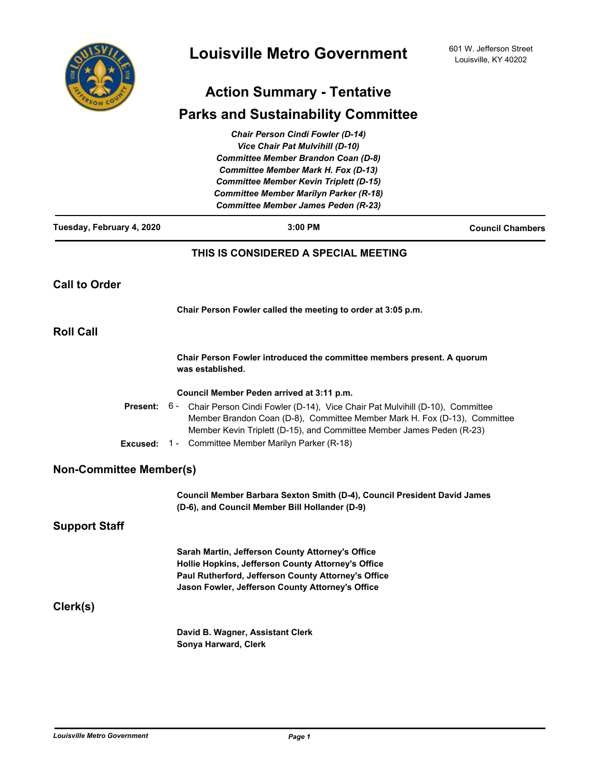

# **Action Summary - Tentative**

## **Parks and Sustainability Committee**

|                                | <b>Chair Person Cindi Fowler (D-14)</b>                                                                                                                                                                                                                                              |                         |
|--------------------------------|--------------------------------------------------------------------------------------------------------------------------------------------------------------------------------------------------------------------------------------------------------------------------------------|-------------------------|
|                                | <b>Vice Chair Pat Mulvihill (D-10)</b>                                                                                                                                                                                                                                               |                         |
|                                | <b>Committee Member Brandon Coan (D-8)</b>                                                                                                                                                                                                                                           |                         |
|                                | <b>Committee Member Mark H. Fox (D-13)</b>                                                                                                                                                                                                                                           |                         |
|                                | <b>Committee Member Kevin Triplett (D-15)</b>                                                                                                                                                                                                                                        |                         |
|                                | <b>Committee Member Marilyn Parker (R-18)</b>                                                                                                                                                                                                                                        |                         |
|                                | <b>Committee Member James Peden (R-23)</b>                                                                                                                                                                                                                                           |                         |
| Tuesday, February 4, 2020      | $3:00$ PM                                                                                                                                                                                                                                                                            | <b>Council Chambers</b> |
|                                | THIS IS CONSIDERED A SPECIAL MEETING                                                                                                                                                                                                                                                 |                         |
| <b>Call to Order</b>           |                                                                                                                                                                                                                                                                                      |                         |
|                                | Chair Person Fowler called the meeting to order at 3:05 p.m.                                                                                                                                                                                                                         |                         |
| <b>Roll Call</b>               |                                                                                                                                                                                                                                                                                      |                         |
|                                | Chair Person Fowler introduced the committee members present. A quorum<br>was established.                                                                                                                                                                                           |                         |
|                                | Council Member Peden arrived at 3:11 p.m.                                                                                                                                                                                                                                            |                         |
| <b>Present:</b><br>Excused:    | 6 - Chair Person Cindi Fowler (D-14), Vice Chair Pat Mulvihill (D-10), Committee<br>Member Brandon Coan (D-8), Committee Member Mark H. Fox (D-13), Committee<br>Member Kevin Triplett (D-15), and Committee Member James Peden (R-23)<br>1 - Committee Member Marilyn Parker (R-18) |                         |
| <b>Non-Committee Member(s)</b> |                                                                                                                                                                                                                                                                                      |                         |
|                                | Council Member Barbara Sexton Smith (D-4), Council President David James<br>(D-6), and Council Member Bill Hollander (D-9)                                                                                                                                                           |                         |
| <b>Support Staff</b>           |                                                                                                                                                                                                                                                                                      |                         |
|                                | Sarah Martin, Jefferson County Attorney's Office<br>Hollie Hopkins, Jefferson County Attorney's Office<br>Paul Rutherford, Jefferson County Attorney's Office<br>Jason Fowler, Jefferson County Attorney's Office                                                                    |                         |
| Clerk(s)                       |                                                                                                                                                                                                                                                                                      |                         |
|                                | David B. Wagner, Assistant Clerk<br>Sonya Harward, Clerk                                                                                                                                                                                                                             |                         |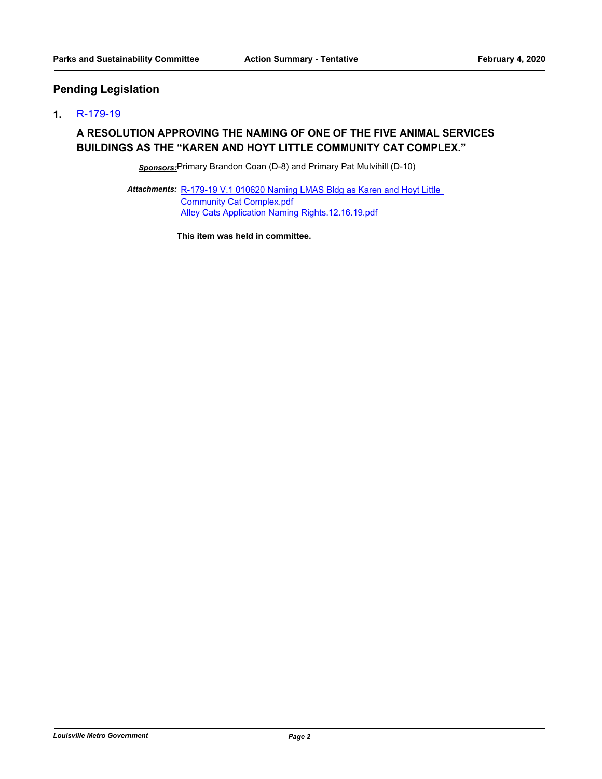## **Pending Legislation**

### **1.** [R-179-19](http://louisville.legistar.com/gateway.aspx?m=l&id=/matter.aspx?key=52296)

### **A RESOLUTION APPROVING THE NAMING OF ONE OF THE FIVE ANIMAL SERVICES BUILDINGS AS THE "KAREN AND HOYT LITTLE COMMUNITY CAT COMPLEX."**

*Sponsors:*Primary Brandon Coan (D-8) and Primary Pat Mulvihill (D-10)

Attachments: R-179-19 V.1 010620 Naming LMAS Bldg as Karen and Hoyt Little Community Cat Complex.pdf [Alley Cats Application Naming Rights.12.16.19.pdf](http://louisville.legistar.com/gateway.aspx?M=F&ID=c4f1056f-faa4-4da8-8987-6b6e208449f4.pdf)

**This item was held in committee.**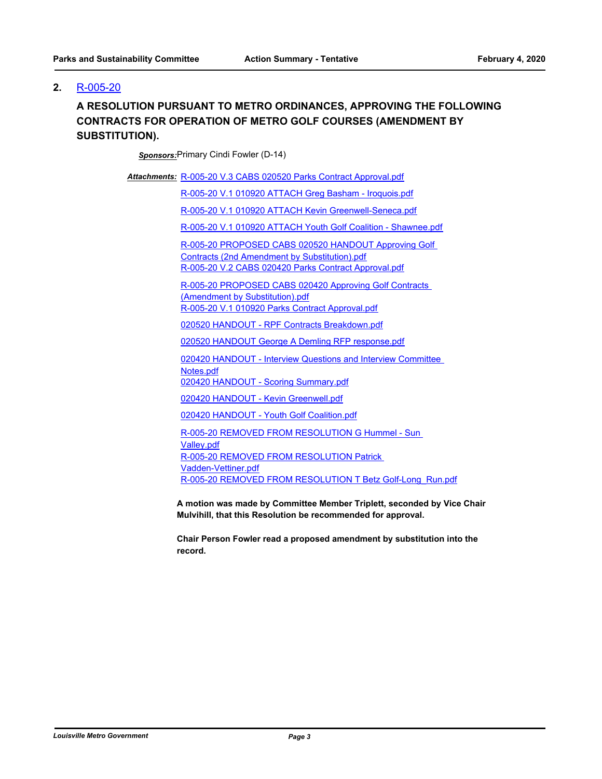### **2.** [R-005-20](http://louisville.legistar.com/gateway.aspx?m=l&id=/matter.aspx?key=52391)

## **A RESOLUTION PURSUANT TO METRO ORDINANCES, APPROVING THE FOLLOWING CONTRACTS FOR OPERATION OF METRO GOLF COURSES (AMENDMENT BY SUBSTITUTION).**

*Sponsors:*Primary Cindi Fowler (D-14)

Attachments: [R-005-20 V.3 CABS 020520 Parks Contract Approval.pdf](http://louisville.legistar.com/gateway.aspx?M=F&ID=f58ca7a3-f112-47e5-b990-3678a9aaa436.pdf)

[R-005-20 V.1 010920 ATTACH Greg Basham - Iroquois.pdf](http://louisville.legistar.com/gateway.aspx?M=F&ID=138b2ed9-8e70-4f58-9294-46e9ae91b6f2.pdf)

[R-005-20 V.1 010920 ATTACH Kevin Greenwell-Seneca.pdf](http://louisville.legistar.com/gateway.aspx?M=F&ID=c2723085-de64-42ed-9b80-911f1ad62895.pdf)

[R-005-20 V.1 010920 ATTACH Youth Golf Coalition - Shawnee.pdf](http://louisville.legistar.com/gateway.aspx?M=F&ID=424c004b-40a8-422a-ad9d-a2020813cbb2.pdf)

[R-005-20 PROPOSED CABS 020520 HANDOUT Approving Golf](http://louisville.legistar.com/gateway.aspx?M=F&ID=911c17fd-cc86-4886-8d49-20673420a227.pdf)  Contracts (2nd Amendment by Substitution).pdf [R-005-20 V.2 CABS 020420 Parks Contract Approval.pdf](http://louisville.legistar.com/gateway.aspx?M=F&ID=e5d1606a-d3da-459a-ac6a-072133ec0fc5.pdf)

[R-005-20 PROPOSED CABS 020420 Approving Golf Contracts](http://louisville.legistar.com/gateway.aspx?M=F&ID=e918262d-55ff-46ba-87b2-d60a564c306e.pdf)  (Amendment by Substitution).pdf [R-005-20 V.1 010920 Parks Contract Approval.pdf](http://louisville.legistar.com/gateway.aspx?M=F&ID=2f5293e9-81c2-4852-b8c2-b77c79510eea.pdf)

[020520 HANDOUT - RPF Contracts Breakdown.pdf](http://louisville.legistar.com/gateway.aspx?M=F&ID=860e0e33-bbc9-4557-b80a-3ff62e4ef79f.pdf)

[020520 HANDOUT George A Demling RFP response.pdf](http://louisville.legistar.com/gateway.aspx?M=F&ID=c0b4e691-8218-42e5-9d3e-84e4bac0837e.pdf)

[020420 HANDOUT - Interview Questions and Interview Committee](http://louisville.legistar.com/gateway.aspx?M=F&ID=f4ceca5e-b203-44c8-aae5-85f420cbbfe5.pdf)  Notes.pdf

[020420 HANDOUT - Scoring Summary.pdf](http://louisville.legistar.com/gateway.aspx?M=F&ID=d7ea0036-65e0-4aab-8cc4-f8cce14402c6.pdf)

[020420 HANDOUT - Kevin Greenwell.pdf](http://louisville.legistar.com/gateway.aspx?M=F&ID=653767db-d581-4689-984d-c9a8c680b726.pdf)

[020420 HANDOUT - Youth Golf Coalition.pdf](http://louisville.legistar.com/gateway.aspx?M=F&ID=211d2b7e-4a0c-4cd2-8023-c5478c738ea3.pdf)

[R-005-20 REMOVED FROM RESOLUTION G Hummel - Sun](http://louisville.legistar.com/gateway.aspx?M=F&ID=997c860b-d38c-44b6-9af5-1f8bc66f1064.pdf)  Valley.pdf [R-005-20 REMOVED FROM RESOLUTION Patrick](http://louisville.legistar.com/gateway.aspx?M=F&ID=47c204b6-6835-4dcd-8d3f-123ba6359e6f.pdf)  Vadden-Vettiner.pdf [R-005-20 REMOVED FROM RESOLUTION T Betz Golf-Long\\_Run.pdf](http://louisville.legistar.com/gateway.aspx?M=F&ID=3dc19f6f-104b-4bf2-8ef6-667e63fe2ec8.pdf)

**A motion was made by Committee Member Triplett, seconded by Vice Chair Mulvihill, that this Resolution be recommended for approval.**

**Chair Person Fowler read a proposed amendment by substitution into the record.**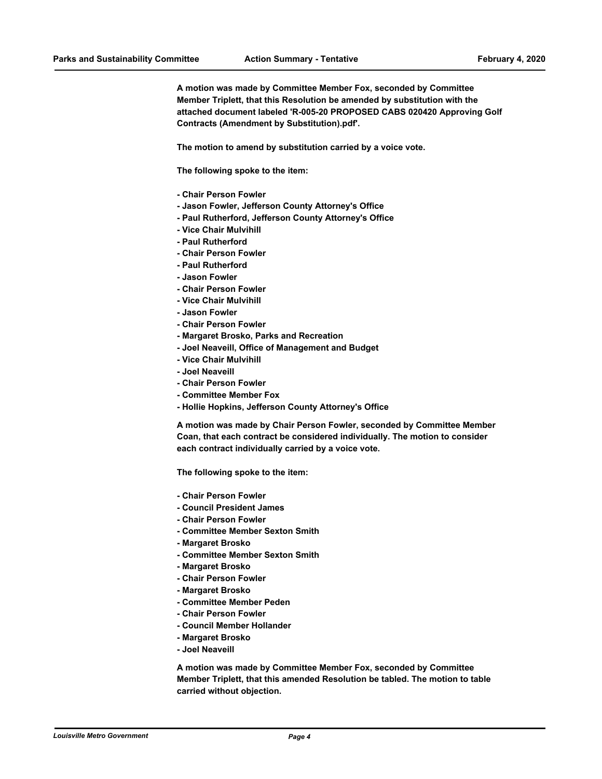**A motion was made by Committee Member Fox, seconded by Committee Member Triplett, that this Resolution be amended by substitution with the attached document labeled 'R-005-20 PROPOSED CABS 020420 Approving Golf Contracts (Amendment by Substitution).pdf'.**

**The motion to amend by substitution carried by a voice vote.**

**The following spoke to the item:**

- **Chair Person Fowler**
- **Jason Fowler, Jefferson County Attorney's Office**
- **Paul Rutherford, Jefferson County Attorney's Office**
- **Vice Chair Mulvihill**
- **Paul Rutherford**
- **Chair Person Fowler**
- **Paul Rutherford**
- **Jason Fowler**
- **Chair Person Fowler**
- **Vice Chair Mulvihill**
- **Jason Fowler**
- **Chair Person Fowler**
- **Margaret Brosko, Parks and Recreation**
- **Joel Neaveill, Office of Management and Budget**
- **Vice Chair Mulvihill**
- **Joel Neaveill**
- **Chair Person Fowler**
- **Committee Member Fox**
- **Hollie Hopkins, Jefferson County Attorney's Office**

**A motion was made by Chair Person Fowler, seconded by Committee Member Coan, that each contract be considered individually. The motion to consider each contract individually carried by a voice vote.**

**The following spoke to the item:**

- **Chair Person Fowler**
- **Council President James**
- **Chair Person Fowler**
- **Committee Member Sexton Smith**
- **Margaret Brosko**
- **Committee Member Sexton Smith**
- **Margaret Brosko**
- **Chair Person Fowler**
- **Margaret Brosko**
- **Committee Member Peden**
- **Chair Person Fowler**
- **Council Member Hollander**
- **Margaret Brosko**
- **Joel Neaveill**

**A motion was made by Committee Member Fox, seconded by Committee Member Triplett, that this amended Resolution be tabled. The motion to table carried without objection.**